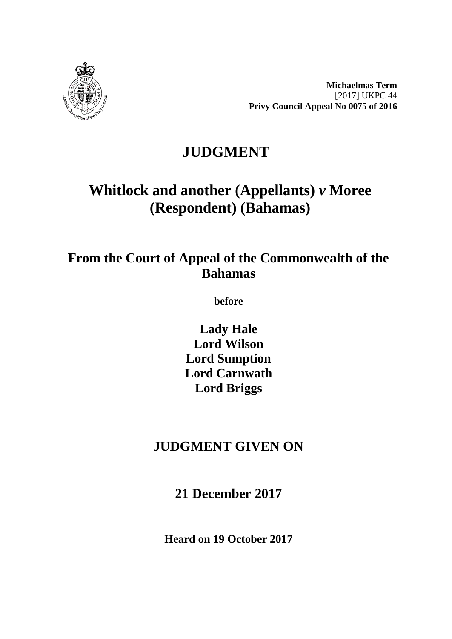

**Michaelmas Term** [2017] UKPC 44 **Privy Council Appeal No 0075 of 2016**

# **JUDGMENT**

# **Whitlock and another (Appellants)** *v* **Moree (Respondent) (Bahamas)**

# **From the Court of Appeal of the Commonwealth of the Bahamas**

**before** 

**Lady Hale Lord Wilson Lord Sumption Lord Carnwath Lord Briggs**

# **JUDGMENT GIVEN ON**

**21 December 2017**

**Heard on 19 October 2017**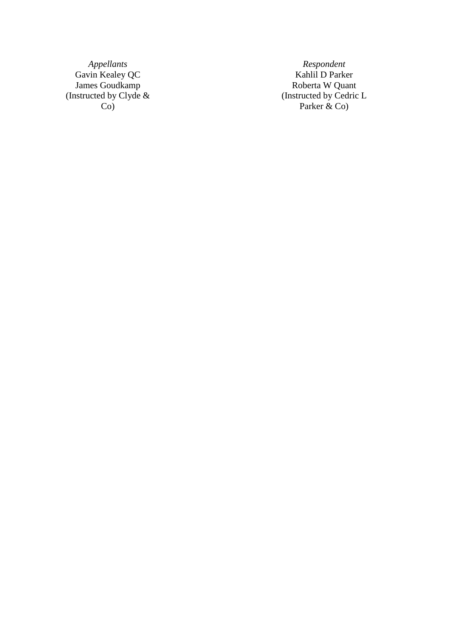*Appellant* Gavin Kealey QC **Kahlil D** Parker James Goudkamp **Roberta W** Quant (Instructed by Clyde & Co )

*s Respondent* Roberta W Quant<br>(Instructed by Cedric L Parker & Co )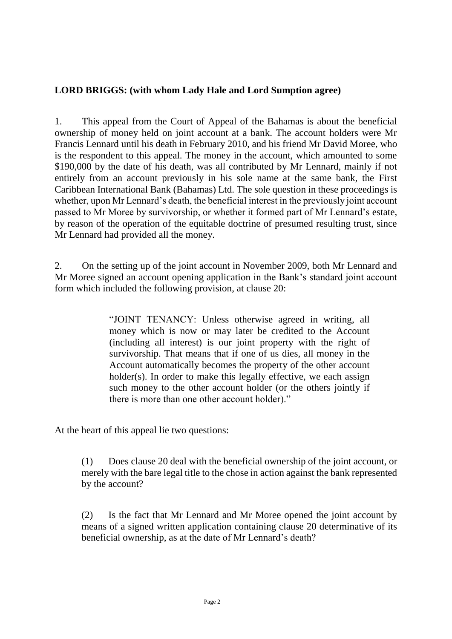#### **LORD BRIGGS: (with whom Lady Hale and Lord Sumption agree)**

1. This appeal from the Court of Appeal of the Bahamas is about the beneficial ownership of money held on joint account at a bank. The account holders were Mr Francis Lennard until his death in February 2010, and his friend Mr David Moree, who is the respondent to this appeal. The money in the account, which amounted to some \$190,000 by the date of his death, was all contributed by Mr Lennard, mainly if not entirely from an account previously in his sole name at the same bank, the First Caribbean International Bank (Bahamas) Ltd. The sole question in these proceedings is whether, upon Mr Lennard's death, the beneficial interest in the previously joint account passed to Mr Moree by survivorship, or whether it formed part of Mr Lennard's estate, by reason of the operation of the equitable doctrine of presumed resulting trust, since Mr Lennard had provided all the money.

2. On the setting up of the joint account in November 2009, both Mr Lennard and Mr Moree signed an account opening application in the Bank's standard joint account form which included the following provision, at clause 20:

> "JOINT TENANCY: Unless otherwise agreed in writing, all money which is now or may later be credited to the Account (including all interest) is our joint property with the right of survivorship. That means that if one of us dies, all money in the Account automatically becomes the property of the other account holder(s). In order to make this legally effective, we each assign such money to the other account holder (or the others jointly if there is more than one other account holder)."

At the heart of this appeal lie two questions:

(1) Does clause 20 deal with the beneficial ownership of the joint account, or merely with the bare legal title to the chose in action against the bank represented by the account?

(2) Is the fact that Mr Lennard and Mr Moree opened the joint account by means of a signed written application containing clause 20 determinative of its beneficial ownership, as at the date of Mr Lennard's death?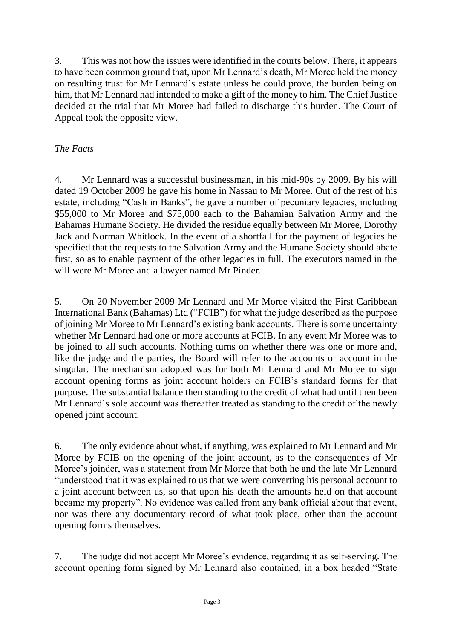3. This was not how the issues were identified in the courts below. There, it appears to have been common ground that, upon Mr Lennard's death, Mr Moree held the money on resulting trust for Mr Lennard's estate unless he could prove, the burden being on him, that Mr Lennard had intended to make a gift of the money to him. The Chief Justice decided at the trial that Mr Moree had failed to discharge this burden. The Court of Appeal took the opposite view.

## *The Facts*

4. Mr Lennard was a successful businessman, in his mid-90s by 2009. By his will dated 19 October 2009 he gave his home in Nassau to Mr Moree. Out of the rest of his estate, including "Cash in Banks", he gave a number of pecuniary legacies, including \$55,000 to Mr Moree and \$75,000 each to the Bahamian Salvation Army and the Bahamas Humane Society. He divided the residue equally between Mr Moree, Dorothy Jack and Norman Whitlock. In the event of a shortfall for the payment of legacies he specified that the requests to the Salvation Army and the Humane Society should abate first, so as to enable payment of the other legacies in full. The executors named in the will were Mr Moree and a lawyer named Mr Pinder.

5. On 20 November 2009 Mr Lennard and Mr Moree visited the First Caribbean International Bank (Bahamas) Ltd ("FCIB") for what the judge described as the purpose of joining Mr Moree to Mr Lennard's existing bank accounts. There is some uncertainty whether Mr Lennard had one or more accounts at FCIB. In any event Mr Moree was to be joined to all such accounts. Nothing turns on whether there was one or more and, like the judge and the parties, the Board will refer to the accounts or account in the singular. The mechanism adopted was for both Mr Lennard and Mr Moree to sign account opening forms as joint account holders on FCIB's standard forms for that purpose. The substantial balance then standing to the credit of what had until then been Mr Lennard's sole account was thereafter treated as standing to the credit of the newly opened joint account.

6. The only evidence about what, if anything, was explained to Mr Lennard and Mr Moree by FCIB on the opening of the joint account, as to the consequences of Mr Moree's joinder, was a statement from Mr Moree that both he and the late Mr Lennard "understood that it was explained to us that we were converting his personal account to a joint account between us, so that upon his death the amounts held on that account became my property". No evidence was called from any bank official about that event, nor was there any documentary record of what took place, other than the account opening forms themselves.

7. The judge did not accept Mr Moree's evidence, regarding it as self-serving. The account opening form signed by Mr Lennard also contained, in a box headed "State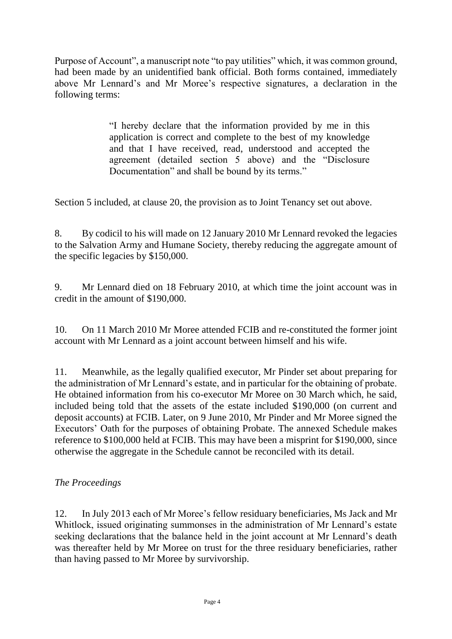Purpose of Account", a manuscript note "to pay utilities" which, it was common ground, had been made by an unidentified bank official. Both forms contained, immediately above Mr Lennard's and Mr Moree's respective signatures, a declaration in the following terms:

> "I hereby declare that the information provided by me in this application is correct and complete to the best of my knowledge and that I have received, read, understood and accepted the agreement (detailed section 5 above) and the "Disclosure Documentation" and shall be bound by its terms."

Section 5 included, at clause 20, the provision as to Joint Tenancy set out above.

8. By codicil to his will made on 12 January 2010 Mr Lennard revoked the legacies to the Salvation Army and Humane Society, thereby reducing the aggregate amount of the specific legacies by \$150,000.

9. Mr Lennard died on 18 February 2010, at which time the joint account was in credit in the amount of \$190,000.

10. On 11 March 2010 Mr Moree attended FCIB and re-constituted the former joint account with Mr Lennard as a joint account between himself and his wife.

11. Meanwhile, as the legally qualified executor, Mr Pinder set about preparing for the administration of Mr Lennard's estate, and in particular for the obtaining of probate. He obtained information from his co-executor Mr Moree on 30 March which, he said, included being told that the assets of the estate included \$190,000 (on current and deposit accounts) at FCIB. Later, on 9 June 2010, Mr Pinder and Mr Moree signed the Executors' Oath for the purposes of obtaining Probate. The annexed Schedule makes reference to \$100,000 held at FCIB. This may have been a misprint for \$190,000, since otherwise the aggregate in the Schedule cannot be reconciled with its detail.

## *The Proceedings*

12. In July 2013 each of Mr Moree's fellow residuary beneficiaries, Ms Jack and Mr Whitlock, issued originating summonses in the administration of Mr Lennard's estate seeking declarations that the balance held in the joint account at Mr Lennard's death was thereafter held by Mr Moree on trust for the three residuary beneficiaries, rather than having passed to Mr Moree by survivorship.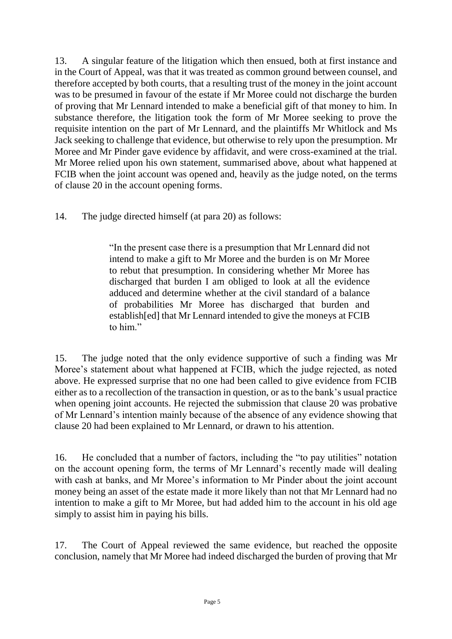13. A singular feature of the litigation which then ensued, both at first instance and in the Court of Appeal, was that it was treated as common ground between counsel, and therefore accepted by both courts, that a resulting trust of the money in the joint account was to be presumed in favour of the estate if Mr Moree could not discharge the burden of proving that Mr Lennard intended to make a beneficial gift of that money to him. In substance therefore, the litigation took the form of Mr Moree seeking to prove the requisite intention on the part of Mr Lennard, and the plaintiffs Mr Whitlock and Ms Jack seeking to challenge that evidence, but otherwise to rely upon the presumption. Mr Moree and Mr Pinder gave evidence by affidavit, and were cross-examined at the trial. Mr Moree relied upon his own statement, summarised above, about what happened at FCIB when the joint account was opened and, heavily as the judge noted, on the terms of clause 20 in the account opening forms.

14. The judge directed himself (at para 20) as follows:

"In the present case there is a presumption that Mr Lennard did not intend to make a gift to Mr Moree and the burden is on Mr Moree to rebut that presumption. In considering whether Mr Moree has discharged that burden I am obliged to look at all the evidence adduced and determine whether at the civil standard of a balance of probabilities Mr Moree has discharged that burden and establish[ed] that Mr Lennard intended to give the moneys at FCIB to him"

15. The judge noted that the only evidence supportive of such a finding was Mr Moree's statement about what happened at FCIB, which the judge rejected, as noted above. He expressed surprise that no one had been called to give evidence from FCIB either as to a recollection of the transaction in question, or as to the bank's usual practice when opening joint accounts. He rejected the submission that clause 20 was probative of Mr Lennard's intention mainly because of the absence of any evidence showing that clause 20 had been explained to Mr Lennard, or drawn to his attention.

16. He concluded that a number of factors, including the "to pay utilities" notation on the account opening form, the terms of Mr Lennard's recently made will dealing with cash at banks, and Mr Moree's information to Mr Pinder about the joint account money being an asset of the estate made it more likely than not that Mr Lennard had no intention to make a gift to Mr Moree, but had added him to the account in his old age simply to assist him in paying his bills.

17. The Court of Appeal reviewed the same evidence, but reached the opposite conclusion, namely that Mr Moree had indeed discharged the burden of proving that Mr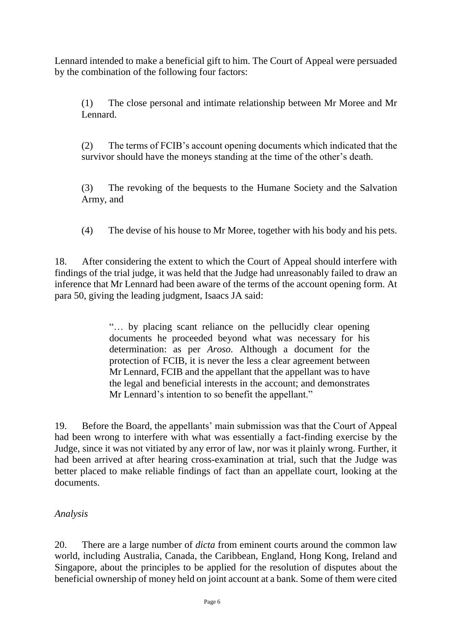Lennard intended to make a beneficial gift to him. The Court of Appeal were persuaded by the combination of the following four factors:

(1) The close personal and intimate relationship between Mr Moree and Mr Lennard.

(2) The terms of FCIB's account opening documents which indicated that the survivor should have the moneys standing at the time of the other's death.

(3) The revoking of the bequests to the Humane Society and the Salvation Army, and

(4) The devise of his house to Mr Moree, together with his body and his pets.

18. After considering the extent to which the Court of Appeal should interfere with findings of the trial judge, it was held that the Judge had unreasonably failed to draw an inference that Mr Lennard had been aware of the terms of the account opening form. At para 50, giving the leading judgment, Isaacs JA said:

> "… by placing scant reliance on the pellucidly clear opening documents he proceeded beyond what was necessary for his determination: as per *Aroso*. Although a document for the protection of FCIB, it is never the less a clear agreement between Mr Lennard, FCIB and the appellant that the appellant was to have the legal and beneficial interests in the account; and demonstrates Mr Lennard's intention to so benefit the appellant."

19. Before the Board, the appellants' main submission was that the Court of Appeal had been wrong to interfere with what was essentially a fact-finding exercise by the Judge, since it was not vitiated by any error of law, nor was it plainly wrong. Further, it had been arrived at after hearing cross-examination at trial, such that the Judge was better placed to make reliable findings of fact than an appellate court, looking at the documents.

## *Analysis*

20. There are a large number of *dicta* from eminent courts around the common law world, including Australia, Canada, the Caribbean, England, Hong Kong, Ireland and Singapore, about the principles to be applied for the resolution of disputes about the beneficial ownership of money held on joint account at a bank. Some of them were cited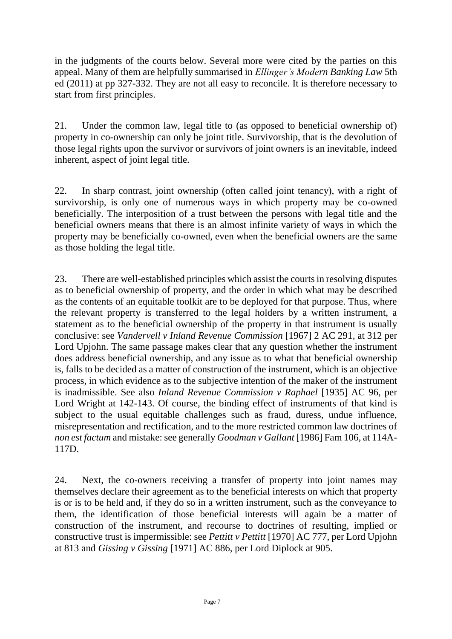in the judgments of the courts below. Several more were cited by the parties on this appeal. Many of them are helpfully summarised in *Ellinger's Modern Banking Law* 5th ed (2011) at pp 327-332. They are not all easy to reconcile. It is therefore necessary to start from first principles.

21. Under the common law, legal title to (as opposed to beneficial ownership of) property in co-ownership can only be joint title. Survivorship, that is the devolution of those legal rights upon the survivor or survivors of joint owners is an inevitable, indeed inherent, aspect of joint legal title.

22. In sharp contrast, joint ownership (often called joint tenancy), with a right of survivorship, is only one of numerous ways in which property may be co-owned beneficially. The interposition of a trust between the persons with legal title and the beneficial owners means that there is an almost infinite variety of ways in which the property may be beneficially co-owned, even when the beneficial owners are the same as those holding the legal title.

23. There are well-established principles which assist the courts in resolving disputes as to beneficial ownership of property, and the order in which what may be described as the contents of an equitable toolkit are to be deployed for that purpose. Thus, where the relevant property is transferred to the legal holders by a written instrument, a statement as to the beneficial ownership of the property in that instrument is usually conclusive: see *Vandervell v Inland Revenue Commission* [1967] 2 AC 291*,* at 312 per Lord Upjohn. The same passage makes clear that any question whether the instrument does address beneficial ownership, and any issue as to what that beneficial ownership is, falls to be decided as a matter of construction of the instrument, which is an objective process, in which evidence as to the subjective intention of the maker of the instrument is inadmissible. See also *Inland Revenue Commission v Raphael* [1935] AC 96, per Lord Wright at 142-143. Of course, the binding effect of instruments of that kind is subject to the usual equitable challenges such as fraud, duress, undue influence, misrepresentation and rectification, and to the more restricted common law doctrines of *non est factum* and mistake: see generally *Goodman v Gallant* [1986] Fam 106, at 114A-117D.

24. Next, the co-owners receiving a transfer of property into joint names may themselves declare their agreement as to the beneficial interests on which that property is or is to be held and, if they do so in a written instrument, such as the conveyance to them, the identification of those beneficial interests will again be a matter of construction of the instrument, and recourse to doctrines of resulting, implied or constructive trust is impermissible: see *Pettitt v Pettitt* [1970] AC 777, per Lord Upjohn at 813 and *Gissing v Gissing* [1971] AC 886, per Lord Diplock at 905.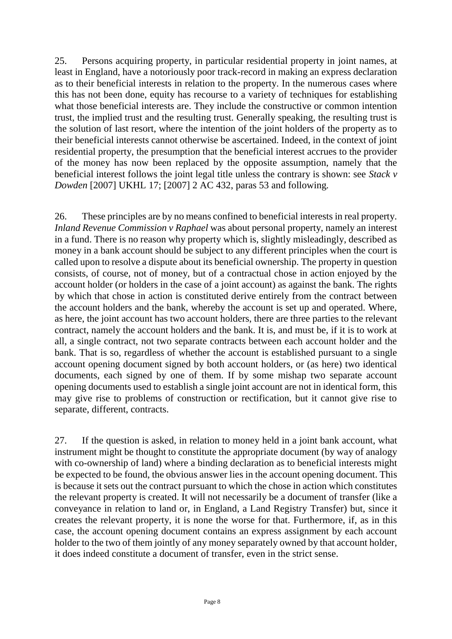25. Persons acquiring property, in particular residential property in joint names, at least in England, have a notoriously poor track-record in making an express declaration as to their beneficial interests in relation to the property. In the numerous cases where this has not been done, equity has recourse to a variety of techniques for establishing what those beneficial interests are. They include the constructive or common intention trust, the implied trust and the resulting trust. Generally speaking, the resulting trust is the solution of last resort, where the intention of the joint holders of the property as to their beneficial interests cannot otherwise be ascertained. Indeed, in the context of joint residential property, the presumption that the beneficial interest accrues to the provider of the money has now been replaced by the opposite assumption, namely that the beneficial interest follows the joint legal title unless the contrary is shown: see *Stack v Dowden* [2007] UKHL 17; [2007] 2 AC 432, paras 53 and following*.*

26. These principles are by no means confined to beneficial interests in real property. *Inland Revenue Commission v Raphael* was about personal property, namely an interest in a fund. There is no reason why property which is, slightly misleadingly, described as money in a bank account should be subject to any different principles when the court is called upon to resolve a dispute about its beneficial ownership. The property in question consists, of course, not of money, but of a contractual chose in action enjoyed by the account holder (or holders in the case of a joint account) as against the bank. The rights by which that chose in action is constituted derive entirely from the contract between the account holders and the bank, whereby the account is set up and operated. Where, as here, the joint account has two account holders, there are three parties to the relevant contract, namely the account holders and the bank. It is, and must be, if it is to work at all, a single contract, not two separate contracts between each account holder and the bank. That is so, regardless of whether the account is established pursuant to a single account opening document signed by both account holders, or (as here) two identical documents, each signed by one of them. If by some mishap two separate account opening documents used to establish a single joint account are not in identical form, this may give rise to problems of construction or rectification, but it cannot give rise to separate, different, contracts.

27. If the question is asked, in relation to money held in a joint bank account, what instrument might be thought to constitute the appropriate document (by way of analogy with co-ownership of land) where a binding declaration as to beneficial interests might be expected to be found, the obvious answer lies in the account opening document. This is because it sets out the contract pursuant to which the chose in action which constitutes the relevant property is created. It will not necessarily be a document of transfer (like a conveyance in relation to land or, in England, a Land Registry Transfer) but, since it creates the relevant property, it is none the worse for that. Furthermore, if, as in this case, the account opening document contains an express assignment by each account holder to the two of them jointly of any money separately owned by that account holder, it does indeed constitute a document of transfer, even in the strict sense.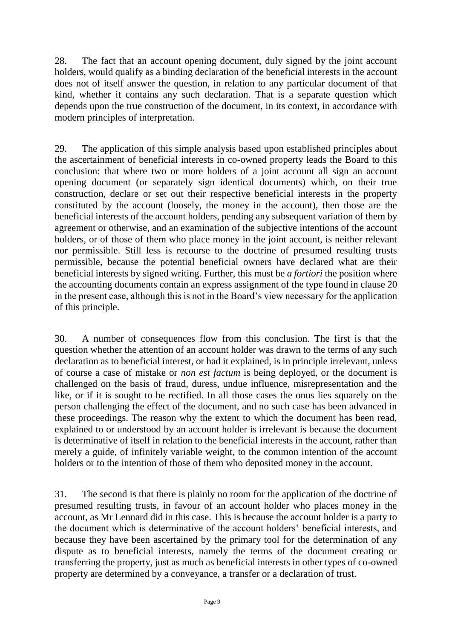28. The fact that an account opening document, duly signed by the joint account holders, would qualify as a binding declaration of the beneficial interests in the account does not of itself answer the question, in relation to any particular document of that kind, whether it contains any such declaration. That is a separate question which depends upon the true construction of the document, in its context, in accordance with modern principles of interpretation.

29. The application of this simple analysis based upon established principles about the ascertainment of beneficial interests in co-owned property leads the Board to this conclusion: that where two or more holders of a joint account all sign an account opening document (or separately sign identical documents) which, on their true construction, declare or set out their respective beneficial interests in the property constituted by the account (loosely, the money in the account), then those are the beneficial interests of the account holders, pending any subsequent variation of them by agreement or otherwise, and an examination of the subjective intentions of the account holders, or of those of them who place money in the joint account, is neither relevant nor permissible. Still less is recourse to the doctrine of presumed resulting trusts permissible, because the potential beneficial owners have declared what are their beneficial interests by signed writing. Further, this must be *a fortiori* the position where the accounting documents contain an express assignment of the type found in clause 20 in the present case, although this is not in the Board's view necessary for the application of this principle.

30. A number of consequences flow from this conclusion. The first is that the question whether the attention of an account holder was drawn to the terms of any such declaration as to beneficial interest, or had it explained, is in principle irrelevant, unless of course a case of mistake or *non est factum* is being deployed, or the document is challenged on the basis of fraud, duress, undue influence, misrepresentation and the like, or if it is sought to be rectified. In all those cases the onus lies squarely on the person challenging the effect of the document, and no such case has been advanced in these proceedings. The reason why the extent to which the document has been read, explained to or understood by an account holder is irrelevant is because the document is determinative of itself in relation to the beneficial interests in the account, rather than merely a guide, of infinitely variable weight, to the common intention of the account holders or to the intention of those of them who deposited money in the account.

31. The second is that there is plainly no room for the application of the doctrine of presumed resulting trusts, in favour of an account holder who places money in the account, as Mr Lennard did in this case. This is because the account holder is a party to the document which is determinative of the account holders' beneficial interests, and because they have been ascertained by the primary tool for the determination of any dispute as to beneficial interests, namely the terms of the document creating or transferring the property, just as much as beneficial interests in other types of co-owned property are determined by a conveyance, a transfer or a declaration of trust.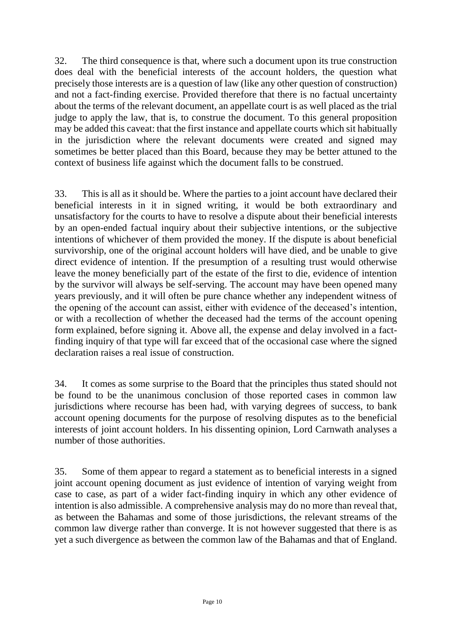32. The third consequence is that, where such a document upon its true construction does deal with the beneficial interests of the account holders, the question what precisely those interests are is a question of law (like any other question of construction) and not a fact-finding exercise. Provided therefore that there is no factual uncertainty about the terms of the relevant document, an appellate court is as well placed as the trial judge to apply the law, that is, to construe the document. To this general proposition may be added this caveat: that the first instance and appellate courts which sit habitually in the jurisdiction where the relevant documents were created and signed may sometimes be better placed than this Board, because they may be better attuned to the context of business life against which the document falls to be construed.

33. This is all as it should be. Where the parties to a joint account have declared their beneficial interests in it in signed writing, it would be both extraordinary and unsatisfactory for the courts to have to resolve a dispute about their beneficial interests by an open-ended factual inquiry about their subjective intentions, or the subjective intentions of whichever of them provided the money. If the dispute is about beneficial survivorship, one of the original account holders will have died, and be unable to give direct evidence of intention. If the presumption of a resulting trust would otherwise leave the money beneficially part of the estate of the first to die, evidence of intention by the survivor will always be self-serving. The account may have been opened many years previously, and it will often be pure chance whether any independent witness of the opening of the account can assist, either with evidence of the deceased's intention, or with a recollection of whether the deceased had the terms of the account opening form explained, before signing it. Above all, the expense and delay involved in a factfinding inquiry of that type will far exceed that of the occasional case where the signed declaration raises a real issue of construction.

34. It comes as some surprise to the Board that the principles thus stated should not be found to be the unanimous conclusion of those reported cases in common law jurisdictions where recourse has been had, with varying degrees of success, to bank account opening documents for the purpose of resolving disputes as to the beneficial interests of joint account holders. In his dissenting opinion, Lord Carnwath analyses a number of those authorities.

35. Some of them appear to regard a statement as to beneficial interests in a signed joint account opening document as just evidence of intention of varying weight from case to case, as part of a wider fact-finding inquiry in which any other evidence of intention is also admissible. A comprehensive analysis may do no more than reveal that, as between the Bahamas and some of those jurisdictions, the relevant streams of the common law diverge rather than converge. It is not however suggested that there is as yet a such divergence as between the common law of the Bahamas and that of England.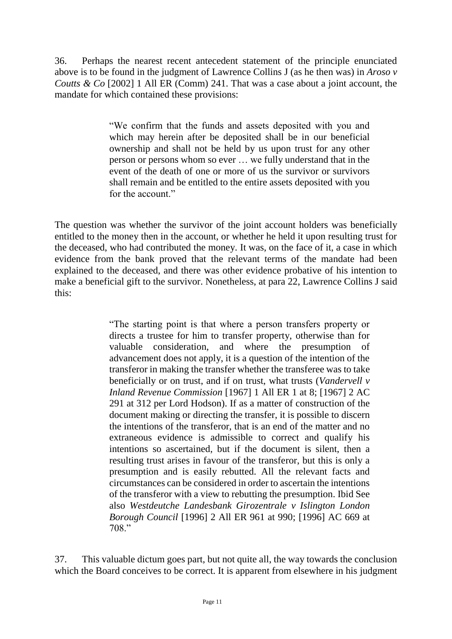36. Perhaps the nearest recent antecedent statement of the principle enunciated above is to be found in the judgment of Lawrence Collins J (as he then was) in *Aroso v Coutts & Co* [2002] 1 All ER (Comm) 241. That was a case about a joint account, the mandate for which contained these provisions:

> "We confirm that the funds and assets deposited with you and which may herein after be deposited shall be in our beneficial ownership and shall not be held by us upon trust for any other person or persons whom so ever … we fully understand that in the event of the death of one or more of us the survivor or survivors shall remain and be entitled to the entire assets deposited with you for the account."

The question was whether the survivor of the joint account holders was beneficially entitled to the money then in the account, or whether he held it upon resulting trust for the deceased, who had contributed the money. It was, on the face of it, a case in which evidence from the bank proved that the relevant terms of the mandate had been explained to the deceased, and there was other evidence probative of his intention to make a beneficial gift to the survivor. Nonetheless, at para 22, Lawrence Collins J said this:

> "The starting point is that where a person transfers property or directs a trustee for him to transfer property, otherwise than for valuable consideration, and where the presumption of advancement does not apply, it is a question of the intention of the transferor in making the transfer whether the transferee was to take beneficially or on trust, and if on trust, what trusts (*Vandervell v Inland Revenue Commission* [1967] 1 All ER 1 at 8; [1967] 2 AC 291 at 312 per Lord Hodson). If as a matter of construction of the document making or directing the transfer, it is possible to discern the intentions of the transferor, that is an end of the matter and no extraneous evidence is admissible to correct and qualify his intentions so ascertained, but if the document is silent, then a resulting trust arises in favour of the transferor, but this is only a presumption and is easily rebutted. All the relevant facts and circumstances can be considered in order to ascertain the intentions of the transferor with a view to rebutting the presumption. Ibid See also *Westdeutche Landesbank Girozentrale v Islington London Borough Council* [1996] 2 All ER 961 at 990; [1996] AC 669 at 708."

37. This valuable dictum goes part, but not quite all, the way towards the conclusion which the Board conceives to be correct. It is apparent from elsewhere in his judgment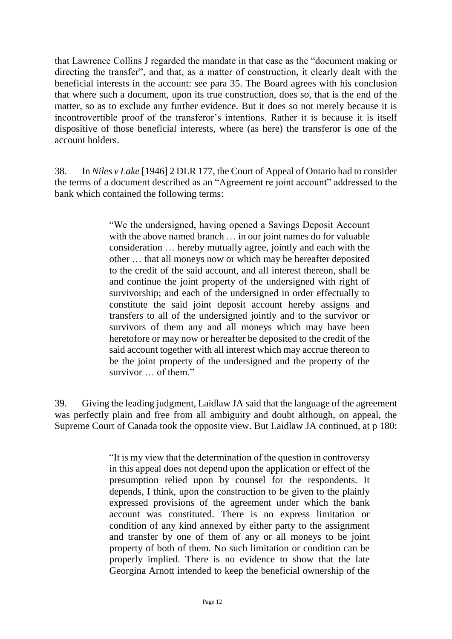that Lawrence Collins J regarded the mandate in that case as the "document making or directing the transfer", and that, as a matter of construction, it clearly dealt with the beneficial interests in the account: see para 35. The Board agrees with his conclusion that where such a document, upon its true construction, does so, that is the end of the matter, so as to exclude any further evidence. But it does so not merely because it is incontrovertible proof of the transferor's intentions. Rather it is because it is itself dispositive of those beneficial interests, where (as here) the transferor is one of the account holders.

38. In *Niles v Lake* [1946] 2 DLR 177, the Court of Appeal of Ontario had to consider the terms of a document described as an "Agreement re joint account" addressed to the bank which contained the following terms:

> "We the undersigned, having opened a Savings Deposit Account with the above named branch ... in our joint names do for valuable consideration … hereby mutually agree, jointly and each with the other … that all moneys now or which may be hereafter deposited to the credit of the said account, and all interest thereon, shall be and continue the joint property of the undersigned with right of survivorship; and each of the undersigned in order effectually to constitute the said joint deposit account hereby assigns and transfers to all of the undersigned jointly and to the survivor or survivors of them any and all moneys which may have been heretofore or may now or hereafter be deposited to the credit of the said account together with all interest which may accrue thereon to be the joint property of the undersigned and the property of the survivor … of them."

39. Giving the leading judgment, Laidlaw JA said that the language of the agreement was perfectly plain and free from all ambiguity and doubt although, on appeal, the Supreme Court of Canada took the opposite view. But Laidlaw JA continued, at p 180:

> "It is my view that the determination of the question in controversy in this appeal does not depend upon the application or effect of the presumption relied upon by counsel for the respondents. It depends, I think, upon the construction to be given to the plainly expressed provisions of the agreement under which the bank account was constituted. There is no express limitation or condition of any kind annexed by either party to the assignment and transfer by one of them of any or all moneys to be joint property of both of them. No such limitation or condition can be properly implied. There is no evidence to show that the late Georgina Arnott intended to keep the beneficial ownership of the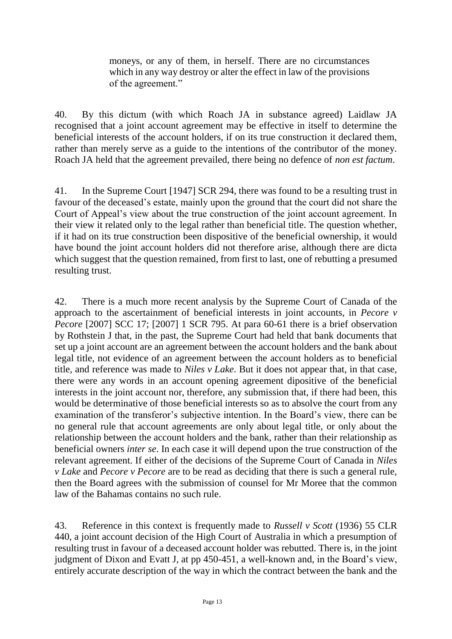moneys, or any of them, in herself. There are no circumstances which in any way destroy or alter the effect in law of the provisions of the agreement."

40. By this dictum (with which Roach JA in substance agreed) Laidlaw JA recognised that a joint account agreement may be effective in itself to determine the beneficial interests of the account holders, if on its true construction it declared them, rather than merely serve as a guide to the intentions of the contributor of the money. Roach JA held that the agreement prevailed, there being no defence of *non est factum*.

41. In the Supreme Court [1947] SCR 294, there was found to be a resulting trust in favour of the deceased's estate, mainly upon the ground that the court did not share the Court of Appeal's view about the true construction of the joint account agreement. In their view it related only to the legal rather than beneficial title. The question whether, if it had on its true construction been dispositive of the beneficial ownership, it would have bound the joint account holders did not therefore arise, although there are dicta which suggest that the question remained, from first to last, one of rebutting a presumed resulting trust.

42. There is a much more recent analysis by the Supreme Court of Canada of the approach to the ascertainment of beneficial interests in joint accounts, in *Pecore v Pecore* [2007] SCC 17; [2007] 1 SCR 795. At para 60-61 there is a brief observation by Rothstein J that, in the past, the Supreme Court had held that bank documents that set up a joint account are an agreement between the account holders and the bank about legal title, not evidence of an agreement between the account holders as to beneficial title, and reference was made to *Niles v Lake*. But it does not appear that, in that case, there were any words in an account opening agreement dipositive of the beneficial interests in the joint account nor, therefore, any submission that, if there had been, this would be determinative of those beneficial interests so as to absolve the court from any examination of the transferor's subjective intention. In the Board's view, there can be no general rule that account agreements are only about legal title, or only about the relationship between the account holders and the bank, rather than their relationship as beneficial owners *inter se*. In each case it will depend upon the true construction of the relevant agreement. If either of the decisions of the Supreme Court of Canada in *Niles v Lake* and *Pecore v Pecore* are to be read as deciding that there is such a general rule, then the Board agrees with the submission of counsel for Mr Moree that the common law of the Bahamas contains no such rule.

43. Reference in this context is frequently made to *Russell v Scott* (1936) 55 CLR 440, a joint account decision of the High Court of Australia in which a presumption of resulting trust in favour of a deceased account holder was rebutted. There is, in the joint judgment of Dixon and Evatt J, at pp 450-451, a well-known and, in the Board's view, entirely accurate description of the way in which the contract between the bank and the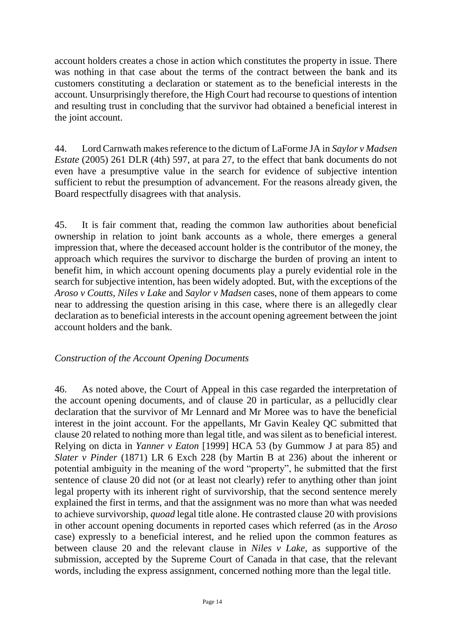account holders creates a chose in action which constitutes the property in issue. There was nothing in that case about the terms of the contract between the bank and its customers constituting a declaration or statement as to the beneficial interests in the account. Unsurprisingly therefore, the High Court had recourse to questions of intention and resulting trust in concluding that the survivor had obtained a beneficial interest in the joint account.

44. Lord Carnwath makes reference to the dictum of LaForme JA in *Saylor v Madsen Estate* (2005) 261 DLR (4th) 597, at para 27, to the effect that bank documents do not even have a presumptive value in the search for evidence of subjective intention sufficient to rebut the presumption of advancement. For the reasons already given, the Board respectfully disagrees with that analysis.

45. It is fair comment that, reading the common law authorities about beneficial ownership in relation to joint bank accounts as a whole, there emerges a general impression that, where the deceased account holder is the contributor of the money, the approach which requires the survivor to discharge the burden of proving an intent to benefit him, in which account opening documents play a purely evidential role in the search for subjective intention, has been widely adopted. But, with the exceptions of the *Aroso v Coutts*, *Niles v Lake* and *Saylor v Madsen* cases, none of them appears to come near to addressing the question arising in this case, where there is an allegedly clear declaration as to beneficial interests in the account opening agreement between the joint account holders and the bank.

#### *Construction of the Account Opening Documents*

46. As noted above, the Court of Appeal in this case regarded the interpretation of the account opening documents, and of clause 20 in particular, as a pellucidly clear declaration that the survivor of Mr Lennard and Mr Moree was to have the beneficial interest in the joint account. For the appellants, Mr Gavin Kealey QC submitted that clause 20 related to nothing more than legal title, and was silent as to beneficial interest. Relying on dicta in *Yanner v Eaton* [1999] HCA 53 (by Gummow J at para 85) and *Slater v Pinder* (1871) LR 6 Exch 228 (by Martin B at 236) about the inherent or potential ambiguity in the meaning of the word "property", he submitted that the first sentence of clause 20 did not (or at least not clearly) refer to anything other than joint legal property with its inherent right of survivorship, that the second sentence merely explained the first in terms, and that the assignment was no more than what was needed to achieve survivorship, *quoad* legal title alone. He contrasted clause 20 with provisions in other account opening documents in reported cases which referred (as in the *Aroso*  case) expressly to a beneficial interest, and he relied upon the common features as between clause 20 and the relevant clause in *Niles v Lake*, as supportive of the submission, accepted by the Supreme Court of Canada in that case, that the relevant words, including the express assignment, concerned nothing more than the legal title.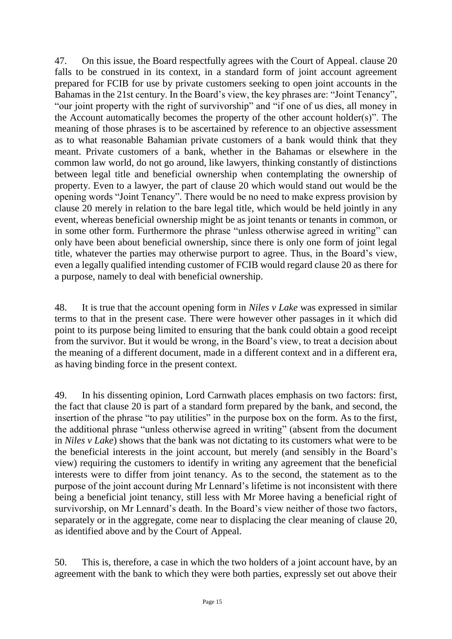47. On this issue, the Board respectfully agrees with the Court of Appeal. clause 20 falls to be construed in its context, in a standard form of joint account agreement prepared for FCIB for use by private customers seeking to open joint accounts in the Bahamas in the 21st century. In the Board's view, the key phrases are: "Joint Tenancy", "our joint property with the right of survivorship" and "if one of us dies, all money in the Account automatically becomes the property of the other account holder(s)". The meaning of those phrases is to be ascertained by reference to an objective assessment as to what reasonable Bahamian private customers of a bank would think that they meant. Private customers of a bank, whether in the Bahamas or elsewhere in the common law world, do not go around, like lawyers, thinking constantly of distinctions between legal title and beneficial ownership when contemplating the ownership of property. Even to a lawyer, the part of clause 20 which would stand out would be the opening words "Joint Tenancy". There would be no need to make express provision by clause 20 merely in relation to the bare legal title, which would be held jointly in any event, whereas beneficial ownership might be as joint tenants or tenants in common, or in some other form. Furthermore the phrase "unless otherwise agreed in writing" can only have been about beneficial ownership, since there is only one form of joint legal title, whatever the parties may otherwise purport to agree. Thus, in the Board's view, even a legally qualified intending customer of FCIB would regard clause 20 as there for a purpose, namely to deal with beneficial ownership.

48. It is true that the account opening form in *Niles v Lake* was expressed in similar terms to that in the present case. There were however other passages in it which did point to its purpose being limited to ensuring that the bank could obtain a good receipt from the survivor. But it would be wrong, in the Board's view, to treat a decision about the meaning of a different document, made in a different context and in a different era, as having binding force in the present context.

49. In his dissenting opinion, Lord Carnwath places emphasis on two factors: first, the fact that clause 20 is part of a standard form prepared by the bank, and second, the insertion of the phrase "to pay utilities" in the purpose box on the form. As to the first, the additional phrase "unless otherwise agreed in writing" (absent from the document in *Niles v Lake*) shows that the bank was not dictating to its customers what were to be the beneficial interests in the joint account, but merely (and sensibly in the Board's view) requiring the customers to identify in writing any agreement that the beneficial interests were to differ from joint tenancy. As to the second, the statement as to the purpose of the joint account during Mr Lennard's lifetime is not inconsistent with there being a beneficial joint tenancy, still less with Mr Moree having a beneficial right of survivorship, on Mr Lennard's death. In the Board's view neither of those two factors, separately or in the aggregate, come near to displacing the clear meaning of clause 20, as identified above and by the Court of Appeal.

50. This is, therefore, a case in which the two holders of a joint account have, by an agreement with the bank to which they were both parties, expressly set out above their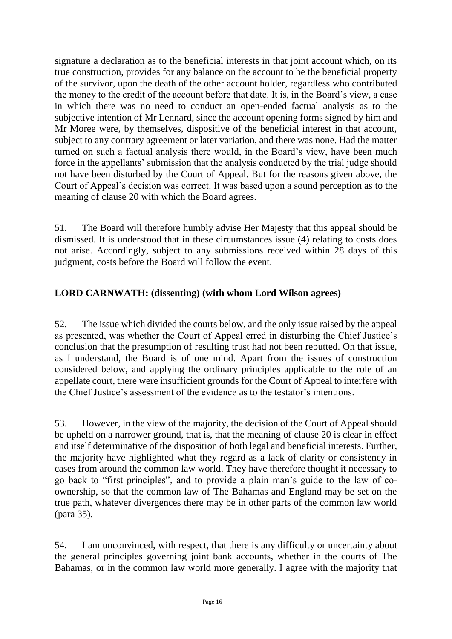signature a declaration as to the beneficial interests in that joint account which, on its true construction, provides for any balance on the account to be the beneficial property of the survivor, upon the death of the other account holder, regardless who contributed the money to the credit of the account before that date. It is, in the Board's view, a case in which there was no need to conduct an open-ended factual analysis as to the subjective intention of Mr Lennard, since the account opening forms signed by him and Mr Moree were, by themselves, dispositive of the beneficial interest in that account, subject to any contrary agreement or later variation, and there was none. Had the matter turned on such a factual analysis there would, in the Board's view, have been much force in the appellants' submission that the analysis conducted by the trial judge should not have been disturbed by the Court of Appeal. But for the reasons given above, the Court of Appeal's decision was correct. It was based upon a sound perception as to the meaning of clause 20 with which the Board agrees.

51. The Board will therefore humbly advise Her Majesty that this appeal should be dismissed. It is understood that in these circumstances issue (4) relating to costs does not arise. Accordingly, subject to any submissions received within 28 days of this judgment, costs before the Board will follow the event.

# **LORD CARNWATH: (dissenting) (with whom Lord Wilson agrees)**

52. The issue which divided the courts below, and the only issue raised by the appeal as presented, was whether the Court of Appeal erred in disturbing the Chief Justice's conclusion that the presumption of resulting trust had not been rebutted. On that issue, as I understand, the Board is of one mind. Apart from the issues of construction considered below, and applying the ordinary principles applicable to the role of an appellate court, there were insufficient grounds for the Court of Appeal to interfere with the Chief Justice's assessment of the evidence as to the testator's intentions.

53. However, in the view of the majority, the decision of the Court of Appeal should be upheld on a narrower ground, that is, that the meaning of clause 20 is clear in effect and itself determinative of the disposition of both legal and beneficial interests. Further, the majority have highlighted what they regard as a lack of clarity or consistency in cases from around the common law world. They have therefore thought it necessary to go back to "first principles", and to provide a plain man's guide to the law of coownership, so that the common law of The Bahamas and England may be set on the true path, whatever divergences there may be in other parts of the common law world (para 35).

54. I am unconvinced, with respect, that there is any difficulty or uncertainty about the general principles governing joint bank accounts, whether in the courts of The Bahamas, or in the common law world more generally. I agree with the majority that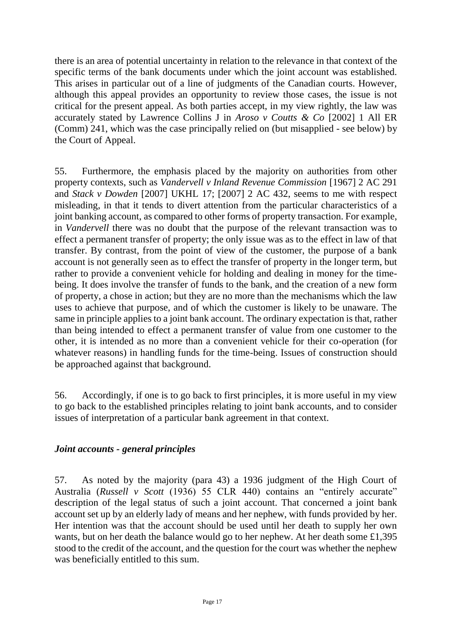there is an area of potential uncertainty in relation to the relevance in that context of the specific terms of the bank documents under which the joint account was established. This arises in particular out of a line of judgments of the Canadian courts. However, although this appeal provides an opportunity to review those cases, the issue is not critical for the present appeal. As both parties accept, in my view rightly, the law was accurately stated by Lawrence Collins J in *Aroso v Coutts & Co* [2002] 1 All ER (Comm) 241, which was the case principally relied on (but misapplied - see below) by the Court of Appeal.

55. Furthermore, the emphasis placed by the majority on authorities from other property contexts, such as *Vandervell v Inland Revenue Commission* [1967] 2 AC 291 and *Stack v Dowden* [2007] UKHL 17; [2007] 2 AC 432, seems to me with respect misleading, in that it tends to divert attention from the particular characteristics of a joint banking account, as compared to other forms of property transaction. For example, in *Vandervell* there was no doubt that the purpose of the relevant transaction was to effect a permanent transfer of property; the only issue was as to the effect in law of that transfer. By contrast, from the point of view of the customer, the purpose of a bank account is not generally seen as to effect the transfer of property in the longer term, but rather to provide a convenient vehicle for holding and dealing in money for the timebeing. It does involve the transfer of funds to the bank, and the creation of a new form of property, a chose in action; but they are no more than the mechanisms which the law uses to achieve that purpose, and of which the customer is likely to be unaware. The same in principle applies to a joint bank account. The ordinary expectation is that, rather than being intended to effect a permanent transfer of value from one customer to the other, it is intended as no more than a convenient vehicle for their co-operation (for whatever reasons) in handling funds for the time-being. Issues of construction should be approached against that background.

56. Accordingly, if one is to go back to first principles, it is more useful in my view to go back to the established principles relating to joint bank accounts, and to consider issues of interpretation of a particular bank agreement in that context.

#### *Joint accounts - general principles*

57. As noted by the majority (para 43) a 1936 judgment of the High Court of Australia (*Russell v Scott* (1936) 55 CLR 440) contains an "entirely accurate" description of the legal status of such a joint account. That concerned a joint bank account set up by an elderly lady of means and her nephew, with funds provided by her. Her intention was that the account should be used until her death to supply her own wants, but on her death the balance would go to her nephew. At her death some £1,395 stood to the credit of the account, and the question for the court was whether the nephew was beneficially entitled to this sum.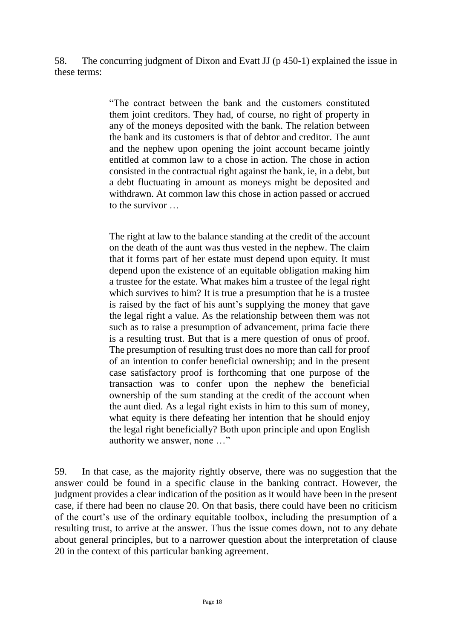58. The concurring judgment of Dixon and Evatt JJ (p 450-1) explained the issue in these terms:

> "The contract between the bank and the customers constituted them joint creditors. They had, of course, no right of property in any of the moneys deposited with the bank. The relation between the bank and its customers is that of debtor and creditor. The aunt and the nephew upon opening the joint account became jointly entitled at common law to a chose in action. The chose in action consisted in the contractual right against the bank, ie, in a debt, but a debt fluctuating in amount as moneys might be deposited and withdrawn. At common law this chose in action passed or accrued to the survivor

> The right at law to the balance standing at the credit of the account on the death of the aunt was thus vested in the nephew. The claim that it forms part of her estate must depend upon equity. It must depend upon the existence of an equitable obligation making him a trustee for the estate. What makes him a trustee of the legal right which survives to him? It is true a presumption that he is a trustee is raised by the fact of his aunt's supplying the money that gave the legal right a value. As the relationship between them was not such as to raise a presumption of advancement, prima facie there is a resulting trust. But that is a mere question of onus of proof. The presumption of resulting trust does no more than call for proof of an intention to confer beneficial ownership; and in the present case satisfactory proof is forthcoming that one purpose of the transaction was to confer upon the nephew the beneficial ownership of the sum standing at the credit of the account when the aunt died. As a legal right exists in him to this sum of money, what equity is there defeating her intention that he should enjoy the legal right beneficially? Both upon principle and upon English authority we answer, none …"

59. In that case, as the majority rightly observe, there was no suggestion that the answer could be found in a specific clause in the banking contract. However, the judgment provides a clear indication of the position as it would have been in the present case, if there had been no clause 20. On that basis, there could have been no criticism of the court's use of the ordinary equitable toolbox, including the presumption of a resulting trust, to arrive at the answer. Thus the issue comes down, not to any debate about general principles, but to a narrower question about the interpretation of clause 20 in the context of this particular banking agreement.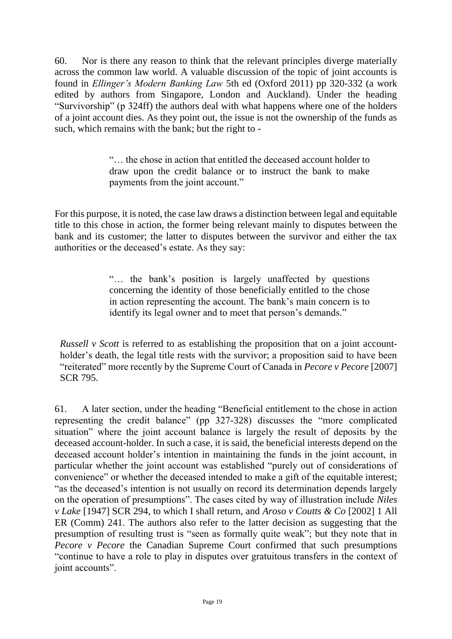60. Nor is there any reason to think that the relevant principles diverge materially across the common law world. A valuable discussion of the topic of joint accounts is found in *Ellinger's Modern Banking Law* 5th ed (Oxford 2011) pp 320-332 (a work edited by authors from Singapore, London and Auckland). Under the heading "Survivorship" (p 324ff) the authors deal with what happens where one of the holders of a joint account dies. As they point out, the issue is not the ownership of the funds as such, which remains with the bank; but the right to -

> "… the chose in action that entitled the deceased account holder to draw upon the credit balance or to instruct the bank to make payments from the joint account."

For this purpose, it is noted, the case law draws a distinction between legal and equitable title to this chose in action, the former being relevant mainly to disputes between the bank and its customer; the latter to disputes between the survivor and either the tax authorities or the deceased's estate. As they say:

> "… the bank's position is largely unaffected by questions concerning the identity of those beneficially entitled to the chose in action representing the account. The bank's main concern is to identify its legal owner and to meet that person's demands."

*Russell v Scott* is referred to as establishing the proposition that on a joint accountholder's death, the legal title rests with the survivor; a proposition said to have been "reiterated" more recently by the Supreme Court of Canada in *Pecore v Pecore* [2007] SCR 795.

61. A later section, under the heading "Beneficial entitlement to the chose in action representing the credit balance" (pp 327-328) discusses the "more complicated situation" where the joint account balance is largely the result of deposits by the deceased account-holder. In such a case, it is said, the beneficial interests depend on the deceased account holder's intention in maintaining the funds in the joint account, in particular whether the joint account was established "purely out of considerations of convenience" or whether the deceased intended to make a gift of the equitable interest; "as the deceased's intention is not usually on record its determination depends largely on the operation of presumptions". The cases cited by way of illustration include *Niles v Lake* [1947] SCR 294, to which I shall return, and *Aroso v Coutts & Co* [2002] 1 All ER (Comm) 241. The authors also refer to the latter decision as suggesting that the presumption of resulting trust is "seen as formally quite weak"; but they note that in *Pecore v Pecore* the Canadian Supreme Court confirmed that such presumptions "continue to have a role to play in disputes over gratuitous transfers in the context of joint accounts".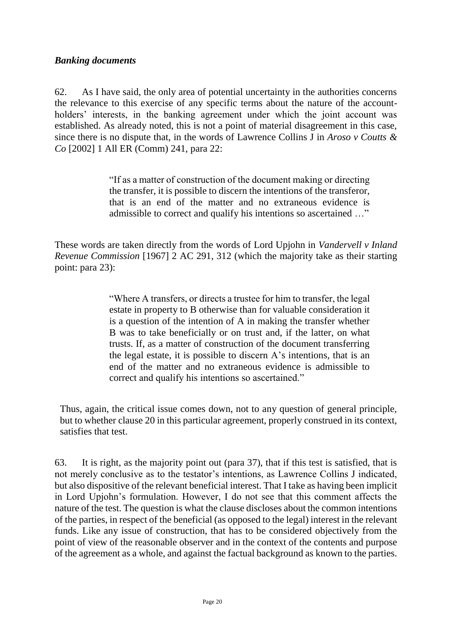#### *Banking documents*

62. As I have said, the only area of potential uncertainty in the authorities concerns the relevance to this exercise of any specific terms about the nature of the accountholders' interests, in the banking agreement under which the joint account was established. As already noted, this is not a point of material disagreement in this case, since there is no dispute that, in the words of Lawrence Collins J in *Aroso v Coutts & Co* [2002] 1 All ER (Comm) 241, para 22:

> "If as a matter of construction of the document making or directing the transfer, it is possible to discern the intentions of the transferor, that is an end of the matter and no extraneous evidence is admissible to correct and qualify his intentions so ascertained …"

These words are taken directly from the words of Lord Upjohn in *Vandervell v Inland Revenue Commission* [1967] 2 AC 291, 312 (which the majority take as their starting point: para 23):

> "Where A transfers, or directs a trustee for him to transfer, the legal estate in property to B otherwise than for valuable consideration it is a question of the intention of A in making the transfer whether B was to take beneficially or on trust and, if the latter, on what trusts. If, as a matter of construction of the document transferring the legal estate, it is possible to discern A's intentions, that is an end of the matter and no extraneous evidence is admissible to correct and qualify his intentions so ascertained."

Thus, again, the critical issue comes down, not to any question of general principle, but to whether clause 20 in this particular agreement, properly construed in its context, satisfies that test.

63. It is right, as the majority point out (para 37), that if this test is satisfied, that is not merely conclusive as to the testator's intentions, as Lawrence Collins J indicated, but also dispositive of the relevant beneficial interest. That I take as having been implicit in Lord Upjohn's formulation. However, I do not see that this comment affects the nature of the test. The question is what the clause discloses about the common intentions of the parties, in respect of the beneficial (as opposed to the legal) interest in the relevant funds. Like any issue of construction, that has to be considered objectively from the point of view of the reasonable observer and in the context of the contents and purpose of the agreement as a whole, and against the factual background as known to the parties.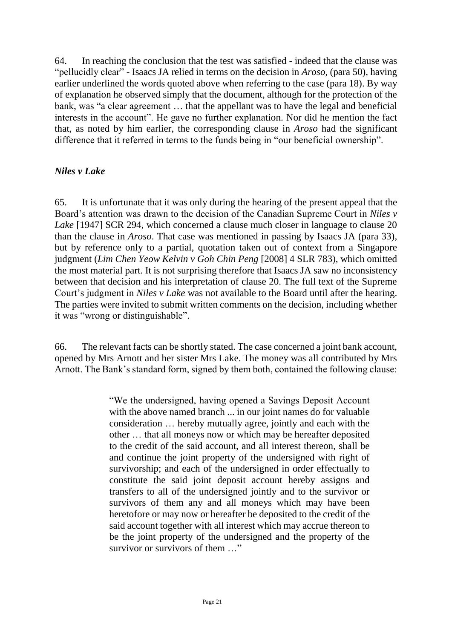64. In reaching the conclusion that the test was satisfied - indeed that the clause was "pellucidly clear" - Isaacs JA relied in terms on the decision in *Aroso*, (para 50), having earlier underlined the words quoted above when referring to the case (para 18). By way of explanation he observed simply that the document, although for the protection of the bank, was "a clear agreement … that the appellant was to have the legal and beneficial interests in the account". He gave no further explanation. Nor did he mention the fact that, as noted by him earlier, the corresponding clause in *Aroso* had the significant difference that it referred in terms to the funds being in "our beneficial ownership".

#### *Niles v Lake*

65. It is unfortunate that it was only during the hearing of the present appeal that the Board's attention was drawn to the decision of the Canadian Supreme Court in *Niles v Lake* [1947] SCR 294, which concerned a clause much closer in language to clause 20 than the clause in *Aroso*. That case was mentioned in passing by Isaacs JA (para 33), but by reference only to a partial, quotation taken out of context from a Singapore judgment (*Lim Chen Yeow Kelvin v Goh Chin Peng* [2008] 4 SLR 783), which omitted the most material part. It is not surprising therefore that Isaacs JA saw no inconsistency between that decision and his interpretation of clause 20. The full text of the Supreme Court's judgment in *Niles v Lake* was not available to the Board until after the hearing. The parties were invited to submit written comments on the decision, including whether it was "wrong or distinguishable".

66. The relevant facts can be shortly stated. The case concerned a joint bank account, opened by Mrs Arnott and her sister Mrs Lake. The money was all contributed by Mrs Arnott. The Bank's standard form, signed by them both, contained the following clause:

> "We the undersigned, having opened a Savings Deposit Account with the above named branch ... in our joint names do for valuable consideration … hereby mutually agree, jointly and each with the other … that all moneys now or which may be hereafter deposited to the credit of the said account, and all interest thereon, shall be and continue the joint property of the undersigned with right of survivorship; and each of the undersigned in order effectually to constitute the said joint deposit account hereby assigns and transfers to all of the undersigned jointly and to the survivor or survivors of them any and all moneys which may have been heretofore or may now or hereafter be deposited to the credit of the said account together with all interest which may accrue thereon to be the joint property of the undersigned and the property of the survivor or survivors of them …"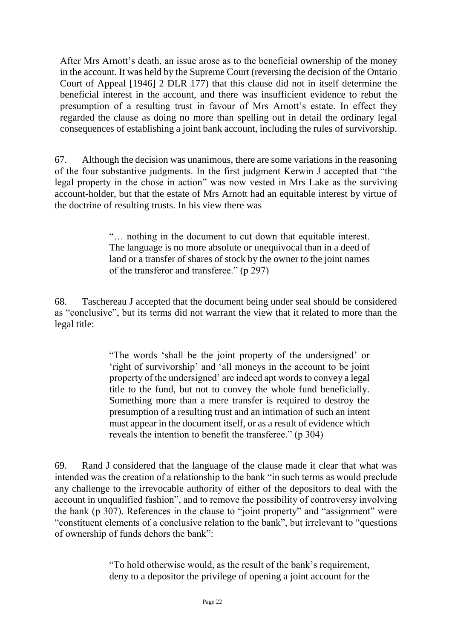After Mrs Arnott's death, an issue arose as to the beneficial ownership of the money in the account. It was held by the Supreme Court (reversing the decision of the Ontario Court of Appeal [1946] 2 DLR 177) that this clause did not in itself determine the beneficial interest in the account, and there was insufficient evidence to rebut the presumption of a resulting trust in favour of Mrs Arnott's estate. In effect they regarded the clause as doing no more than spelling out in detail the ordinary legal consequences of establishing a joint bank account, including the rules of survivorship.

67. Although the decision was unanimous, there are some variations in the reasoning of the four substantive judgments. In the first judgment Kerwin J accepted that "the legal property in the chose in action" was now vested in Mrs Lake as the surviving account-holder, but that the estate of Mrs Arnott had an equitable interest by virtue of the doctrine of resulting trusts. In his view there was

> "… nothing in the document to cut down that equitable interest. The language is no more absolute or unequivocal than in a deed of land or a transfer of shares of stock by the owner to the joint names of the transferor and transferee." (p 297)

68. Taschereau J accepted that the document being under seal should be considered as "conclusive", but its terms did not warrant the view that it related to more than the legal title:

> "The words 'shall be the joint property of the undersigned' or 'right of survivorship' and 'all moneys in the account to be joint property of the undersigned' are indeed apt words to convey a legal title to the fund, but not to convey the whole fund beneficially. Something more than a mere transfer is required to destroy the presumption of a resulting trust and an intimation of such an intent must appear in the document itself, or as a result of evidence which reveals the intention to benefit the transferee." (p 304)

69. Rand J considered that the language of the clause made it clear that what was intended was the creation of a relationship to the bank "in such terms as would preclude any challenge to the irrevocable authority of either of the depositors to deal with the account in unqualified fashion", and to remove the possibility of controversy involving the bank (p 307). References in the clause to "joint property" and "assignment" were "constituent elements of a conclusive relation to the bank", but irrelevant to "questions of ownership of funds dehors the bank":

> "To hold otherwise would, as the result of the bank's requirement, deny to a depositor the privilege of opening a joint account for the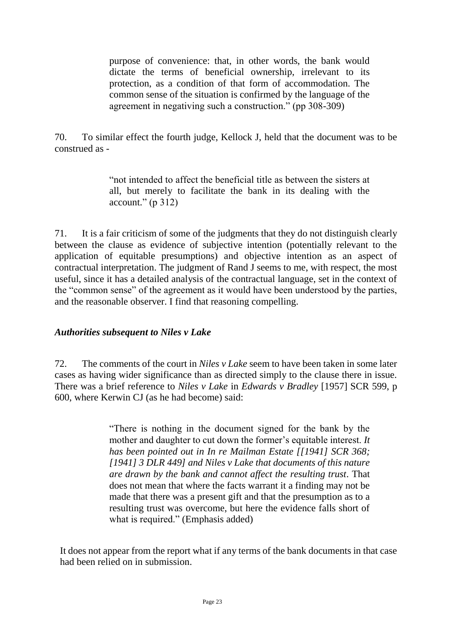purpose of convenience: that, in other words, the bank would dictate the terms of beneficial ownership, irrelevant to its protection, as a condition of that form of accommodation. The common sense of the situation is confirmed by the language of the agreement in negativing such a construction." (pp 308-309)

70. To similar effect the fourth judge, Kellock J, held that the document was to be construed as -

> "not intended to affect the beneficial title as between the sisters at all, but merely to facilitate the bank in its dealing with the  $account." (p 312)$

71. It is a fair criticism of some of the judgments that they do not distinguish clearly between the clause as evidence of subjective intention (potentially relevant to the application of equitable presumptions) and objective intention as an aspect of contractual interpretation. The judgment of Rand J seems to me, with respect, the most useful, since it has a detailed analysis of the contractual language, set in the context of the "common sense" of the agreement as it would have been understood by the parties, and the reasonable observer. I find that reasoning compelling.

#### *Authorities subsequent to Niles v Lake*

72. The comments of the court in *Niles v Lake* seem to have been taken in some later cases as having wider significance than as directed simply to the clause there in issue. There was a brief reference to *Niles v Lake* in *Edwards v Bradley* [1957] SCR 599, p 600, where Kerwin CJ (as he had become) said:

> "There is nothing in the document signed for the bank by the mother and daughter to cut down the former's equitable interest. *It has been pointed out in In re Mailman Estate [[1941] SCR 368; [1941] 3 DLR 449] and Niles v Lake that documents of this nature are drawn by the bank and cannot affect the resulting trust*. That does not mean that where the facts warrant it a finding may not be made that there was a present gift and that the presumption as to a resulting trust was overcome, but here the evidence falls short of what is required." (Emphasis added)

It does not appear from the report what if any terms of the bank documents in that case had been relied on in submission.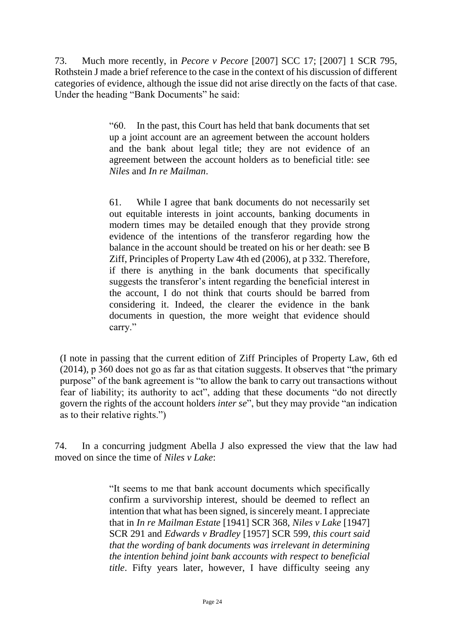73. Much more recently, in *Pecore v Pecore* [2007] SCC 17; [2007] 1 SCR 795, Rothstein J made a brief reference to the case in the context of his discussion of different categories of evidence, although the issue did not arise directly on the facts of that case. Under the heading "Bank Documents" he said:

> "60. In the past, this Court has held that bank documents that set up a joint account are an agreement between the account holders and the bank about legal title; they are not evidence of an agreement between the account holders as to beneficial title: see *Niles* and *In re Mailman*.

> 61. While I agree that bank documents do not necessarily set out equitable interests in joint accounts, banking documents in modern times may be detailed enough that they provide strong evidence of the intentions of the transferor regarding how the balance in the account should be treated on his or her death: see B Ziff, Principles of Property Law 4th ed (2006), at p 332. Therefore, if there is anything in the bank documents that specifically suggests the transferor's intent regarding the beneficial interest in the account, I do not think that courts should be barred from considering it. Indeed, the clearer the evidence in the bank documents in question, the more weight that evidence should carry."

(I note in passing that the current edition of Ziff Principles of Property Law, 6th ed (2014), p 360 does not go as far as that citation suggests. It observes that "the primary purpose" of the bank agreement is "to allow the bank to carry out transactions without fear of liability; its authority to act", adding that these documents "do not directly govern the rights of the account holders *inter se*", but they may provide "an indication as to their relative rights.")

74. In a concurring judgment Abella J also expressed the view that the law had moved on since the time of *Niles v Lake*:

> "It seems to me that bank account documents which specifically confirm a survivorship interest, should be deemed to reflect an intention that what has been signed, is sincerely meant. I appreciate that in *In re Mailman Estate* [1941] SCR 368, *Niles v Lake* [1947] SCR 291 and *Edwards v Bradley* [1957] SCR 599, *this court said that the wording of bank documents was irrelevant in determining the intention behind joint bank accounts with respect to beneficial title*. Fifty years later, however, I have difficulty seeing any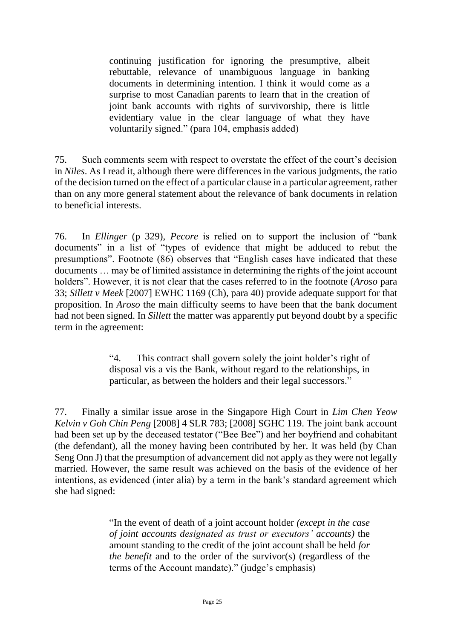continuing justification for ignoring the presumptive, albeit rebuttable, relevance of unambiguous language in banking documents in determining intention. I think it would come as a surprise to most Canadian parents to learn that in the creation of joint bank accounts with rights of survivorship, there is little evidentiary value in the clear language of what they have voluntarily signed." (para 104, emphasis added)

75. Such comments seem with respect to overstate the effect of the court's decision in *Niles*. As I read it, although there were differences in the various judgments, the ratio of the decision turned on the effect of a particular clause in a particular agreement, rather than on any more general statement about the relevance of bank documents in relation to beneficial interests.

76. In *Ellinger* (p 329), *Pecore* is relied on to support the inclusion of "bank documents" in a list of "types of evidence that might be adduced to rebut the presumptions". Footnote (86) observes that "English cases have indicated that these documents … may be of limited assistance in determining the rights of the joint account holders". However, it is not clear that the cases referred to in the footnote (*Aroso* para 33; *Sillett v Meek* [2007] EWHC 1169 (Ch), para 40) provide adequate support for that proposition. In *Aroso* the main difficulty seems to have been that the bank document had not been signed. In *Sillett* the matter was apparently put beyond doubt by a specific term in the agreement:

> "4. This contract shall govern solely the joint holder's right of disposal vis a vis the Bank, without regard to the relationships, in particular, as between the holders and their legal successors."

77. Finally a similar issue arose in the Singapore High Court in *Lim Chen Yeow Kelvin v Goh Chin Peng* [2008] 4 SLR 783; [2008] SGHC 119. The joint bank account had been set up by the deceased testator ("Bee Bee") and her boyfriend and cohabitant (the defendant), all the money having been contributed by her. It was held (by Chan Seng Onn J) that the presumption of advancement did not apply as they were not legally married. However, the same result was achieved on the basis of the evidence of her intentions, as evidenced (inter alia) by a term in the bank's standard agreement which she had signed:

> "In the event of death of a joint account holder *(except in the case of joint accounts designated as trust or executors' accounts)* the amount standing to the credit of the joint account shall be held *for the benefit* and to the order of the survivor(s) (regardless of the terms of the Account mandate)." (judge's emphasis)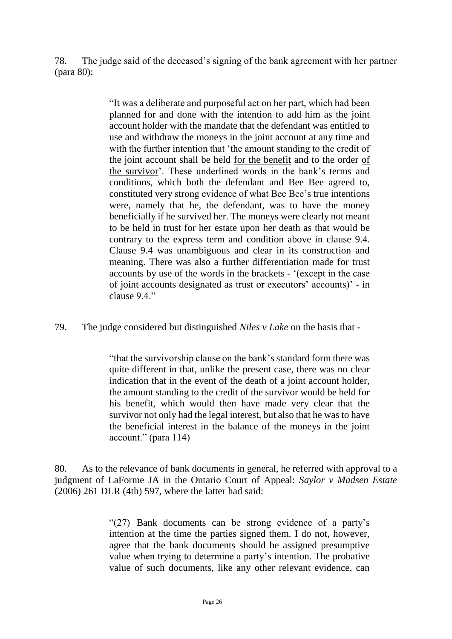78. The judge said of the deceased's signing of the bank agreement with her partner (para 80):

> "It was a deliberate and purposeful act on her part, which had been planned for and done with the intention to add him as the joint account holder with the mandate that the defendant was entitled to use and withdraw the moneys in the joint account at any time and with the further intention that 'the amount standing to the credit of the joint account shall be held for the benefit and to the order of the survivor'. These underlined words in the bank's terms and conditions, which both the defendant and Bee Bee agreed to, constituted very strong evidence of what Bee Bee's true intentions were, namely that he, the defendant, was to have the money beneficially if he survived her. The moneys were clearly not meant to be held in trust for her estate upon her death as that would be contrary to the express term and condition above in clause 9.4. Clause 9.4 was unambiguous and clear in its construction and meaning. There was also a further differentiation made for trust accounts by use of the words in the brackets - '(except in the case of joint accounts designated as trust or executors' accounts)' - in clause 9.4"

79. The judge considered but distinguished *Niles v Lake* on the basis that -

"that the survivorship clause on the bank's standard form there was quite different in that, unlike the present case, there was no clear indication that in the event of the death of a joint account holder, the amount standing to the credit of the survivor would be held for his benefit, which would then have made very clear that the survivor not only had the legal interest, but also that he was to have the beneficial interest in the balance of the moneys in the joint account." (para 114)

80. As to the relevance of bank documents in general, he referred with approval to a judgment of LaForme JA in the Ontario Court of Appeal: *Saylor v Madsen Estate* (2006) 261 DLR (4th) 597, where the latter had said:

> "(27) Bank documents can be strong evidence of a party's intention at the time the parties signed them. I do not, however, agree that the bank documents should be assigned presumptive value when trying to determine a party's intention. The probative value of such documents, like any other relevant evidence, can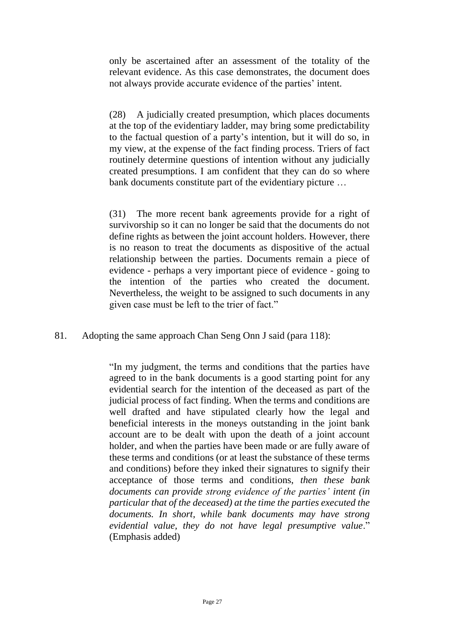only be ascertained after an assessment of the totality of the relevant evidence. As this case demonstrates, the document does not always provide accurate evidence of the parties' intent.

(28) A judicially created presumption, which places documents at the top of the evidentiary ladder, may bring some predictability to the factual question of a party's intention, but it will do so, in my view, at the expense of the fact finding process. Triers of fact routinely determine questions of intention without any judicially created presumptions. I am confident that they can do so where bank documents constitute part of the evidentiary picture …

(31) The more recent bank agreements provide for a right of survivorship so it can no longer be said that the documents do not define rights as between the joint account holders. However, there is no reason to treat the documents as dispositive of the actual relationship between the parties. Documents remain a piece of evidence - perhaps a very important piece of evidence - going to the intention of the parties who created the document. Nevertheless, the weight to be assigned to such documents in any given case must be left to the trier of fact."

81. Adopting the same approach Chan Seng Onn J said (para 118):

"In my judgment, the terms and conditions that the parties have agreed to in the bank documents is a good starting point for any evidential search for the intention of the deceased as part of the judicial process of fact finding. When the terms and conditions are well drafted and have stipulated clearly how the legal and beneficial interests in the moneys outstanding in the joint bank account are to be dealt with upon the death of a joint account holder, and when the parties have been made or are fully aware of these terms and conditions (or at least the substance of these terms and conditions) before they inked their signatures to signify their acceptance of those terms and conditions, *then these bank documents can provide strong evidence of the parties' intent (in particular that of the deceased) at the time the parties executed the documents. In short, while bank documents may have strong evidential value, they do not have legal presumptive value*." (Emphasis added)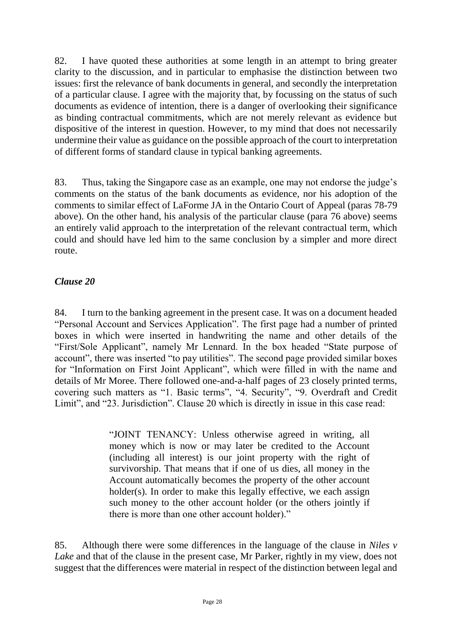82. I have quoted these authorities at some length in an attempt to bring greater clarity to the discussion, and in particular to emphasise the distinction between two issues: first the relevance of bank documents in general, and secondly the interpretation of a particular clause. I agree with the majority that, by focussing on the status of such documents as evidence of intention, there is a danger of overlooking their significance as binding contractual commitments, which are not merely relevant as evidence but dispositive of the interest in question. However, to my mind that does not necessarily undermine their value as guidance on the possible approach of the court to interpretation of different forms of standard clause in typical banking agreements.

83. Thus, taking the Singapore case as an example, one may not endorse the judge's comments on the status of the bank documents as evidence, nor his adoption of the comments to similar effect of LaForme JA in the Ontario Court of Appeal (paras 78-79 above). On the other hand, his analysis of the particular clause (para 76 above) seems an entirely valid approach to the interpretation of the relevant contractual term, which could and should have led him to the same conclusion by a simpler and more direct route.

## *Clause 20*

84. I turn to the banking agreement in the present case. It was on a document headed "Personal Account and Services Application". The first page had a number of printed boxes in which were inserted in handwriting the name and other details of the "First/Sole Applicant", namely Mr Lennard. In the box headed "State purpose of account", there was inserted "to pay utilities". The second page provided similar boxes for "Information on First Joint Applicant", which were filled in with the name and details of Mr Moree. There followed one-and-a-half pages of 23 closely printed terms, covering such matters as "1. Basic terms", "4. Security", "9. Overdraft and Credit Limit", and "23. Jurisdiction". Clause 20 which is directly in issue in this case read:

> "JOINT TENANCY: Unless otherwise agreed in writing, all money which is now or may later be credited to the Account (including all interest) is our joint property with the right of survivorship. That means that if one of us dies, all money in the Account automatically becomes the property of the other account holder(s). In order to make this legally effective, we each assign such money to the other account holder (or the others jointly if there is more than one other account holder)."

85. Although there were some differences in the language of the clause in *Niles v Lake* and that of the clause in the present case, Mr Parker, rightly in my view, does not suggest that the differences were material in respect of the distinction between legal and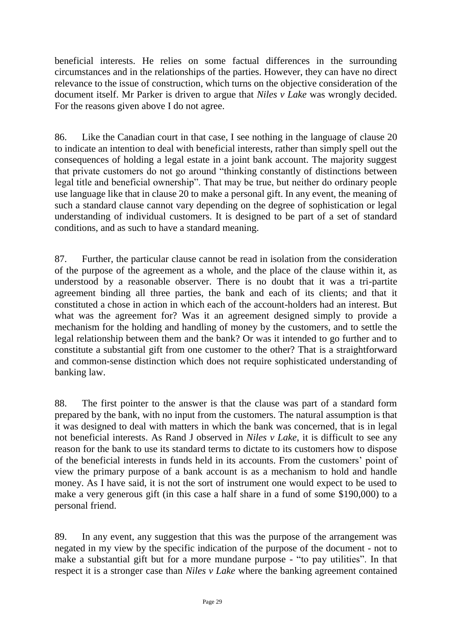beneficial interests. He relies on some factual differences in the surrounding circumstances and in the relationships of the parties. However, they can have no direct relevance to the issue of construction, which turns on the objective consideration of the document itself. Mr Parker is driven to argue that *Niles v Lake* was wrongly decided. For the reasons given above I do not agree.

86. Like the Canadian court in that case, I see nothing in the language of clause 20 to indicate an intention to deal with beneficial interests, rather than simply spell out the consequences of holding a legal estate in a joint bank account. The majority suggest that private customers do not go around "thinking constantly of distinctions between legal title and beneficial ownership". That may be true, but neither do ordinary people use language like that in clause 20 to make a personal gift. In any event, the meaning of such a standard clause cannot vary depending on the degree of sophistication or legal understanding of individual customers. It is designed to be part of a set of standard conditions, and as such to have a standard meaning.

87. Further, the particular clause cannot be read in isolation from the consideration of the purpose of the agreement as a whole, and the place of the clause within it, as understood by a reasonable observer. There is no doubt that it was a tri-partite agreement binding all three parties, the bank and each of its clients; and that it constituted a chose in action in which each of the account-holders had an interest. But what was the agreement for? Was it an agreement designed simply to provide a mechanism for the holding and handling of money by the customers, and to settle the legal relationship between them and the bank? Or was it intended to go further and to constitute a substantial gift from one customer to the other? That is a straightforward and common-sense distinction which does not require sophisticated understanding of banking law.

88. The first pointer to the answer is that the clause was part of a standard form prepared by the bank, with no input from the customers. The natural assumption is that it was designed to deal with matters in which the bank was concerned, that is in legal not beneficial interests. As Rand J observed in *Niles v Lake*, it is difficult to see any reason for the bank to use its standard terms to dictate to its customers how to dispose of the beneficial interests in funds held in its accounts. From the customers' point of view the primary purpose of a bank account is as a mechanism to hold and handle money. As I have said, it is not the sort of instrument one would expect to be used to make a very generous gift (in this case a half share in a fund of some \$190,000) to a personal friend.

89. In any event, any suggestion that this was the purpose of the arrangement was negated in my view by the specific indication of the purpose of the document - not to make a substantial gift but for a more mundane purpose - "to pay utilities". In that respect it is a stronger case than *Niles v Lake* where the banking agreement contained